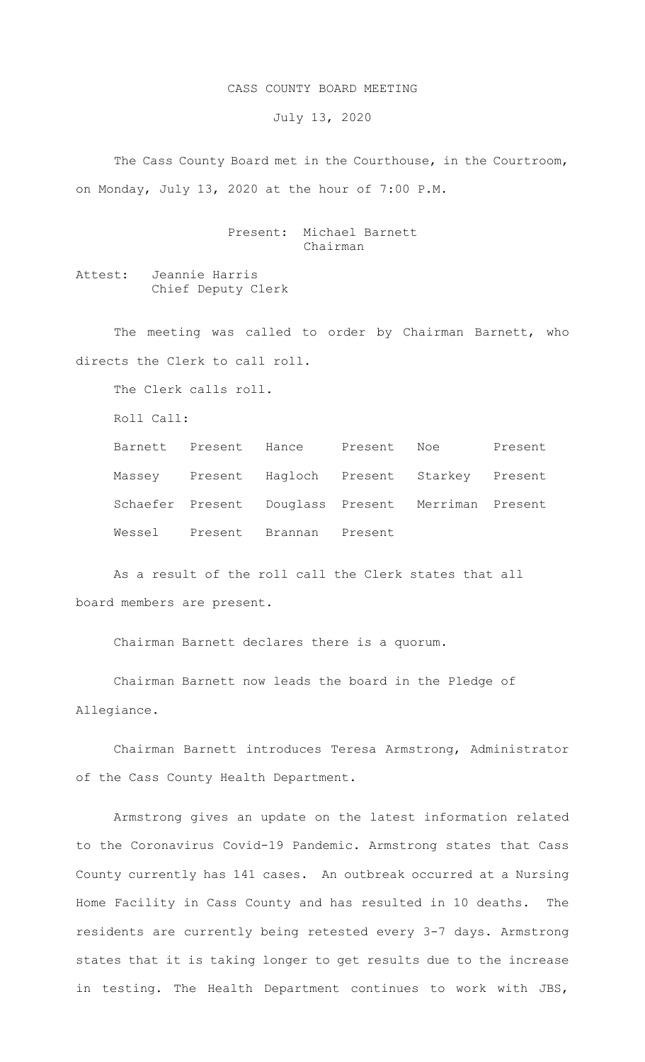## CASS COUNTY BOARD MEETING

July 13, 2020

 The Cass County Board met in the Courthouse, in the Courtroom, on Monday, July 13, 2020 at the hour of 7:00 P.M.

> Present: Michael Barnett Chairman

Attest: Jeannie Harris Chief Deputy Clerk

The meeting was called to order by Chairman Barnett, who directs the Clerk to call roll.

The Clerk calls roll.

Roll Call:

| Barnett Present Hance Present Noe |         |                                                    | Present |
|-----------------------------------|---------|----------------------------------------------------|---------|
|                                   |         | Massey Present Hagloch Present Starkey Present     |         |
|                                   |         | Schaefer Present Douglass Present Merriman Present |         |
| Wessel Present Brannan            | Present |                                                    |         |

As a result of the roll call the Clerk states that all board members are present.

Chairman Barnett declares there is a quorum.

Chairman Barnett now leads the board in the Pledge of Allegiance.

Chairman Barnett introduces Teresa Armstrong, Administrator of the Cass County Health Department.

Armstrong gives an update on the latest information related to the Coronavirus Covid-19 Pandemic. Armstrong states that Cass County currently has 141 cases. An outbreak occurred at a Nursing Home Facility in Cass County and has resulted in 10 deaths. The residents are currently being retested every 3-7 days. Armstrong states that it is taking longer to get results due to the increase in testing. The Health Department continues to work with JBS,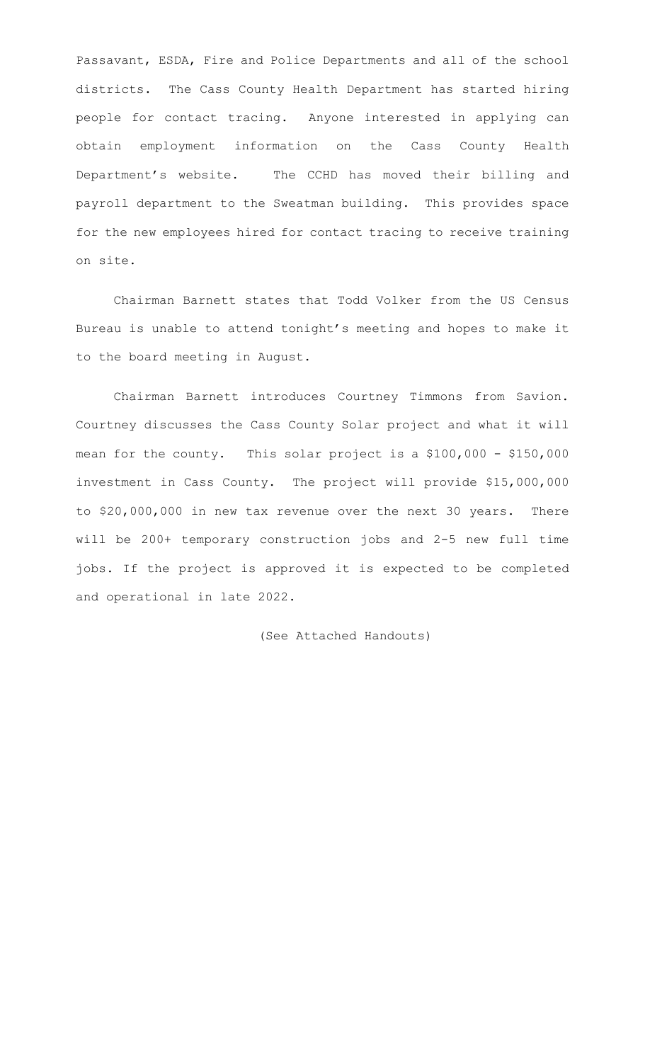Passavant, ESDA, Fire and Police Departments and all of the school districts. The Cass County Health Department has started hiring people for contact tracing. Anyone interested in applying can obtain employment information on the Cass County Health Department's website. The CCHD has moved their billing and payroll department to the Sweatman building. This provides space for the new employees hired for contact tracing to receive training on site.

Chairman Barnett states that Todd Volker from the US Census Bureau is unable to attend tonight's meeting and hopes to make it to the board meeting in August.

Chairman Barnett introduces Courtney Timmons from Savion. Courtney discusses the Cass County Solar project and what it will mean for the county. This solar project is a \$100,000 - \$150,000 investment in Cass County. The project will provide \$15,000,000 to \$20,000,000 in new tax revenue over the next 30 years. There will be 200+ temporary construction jobs and 2-5 new full time jobs. If the project is approved it is expected to be completed and operational in late 2022.

(See Attached Handouts)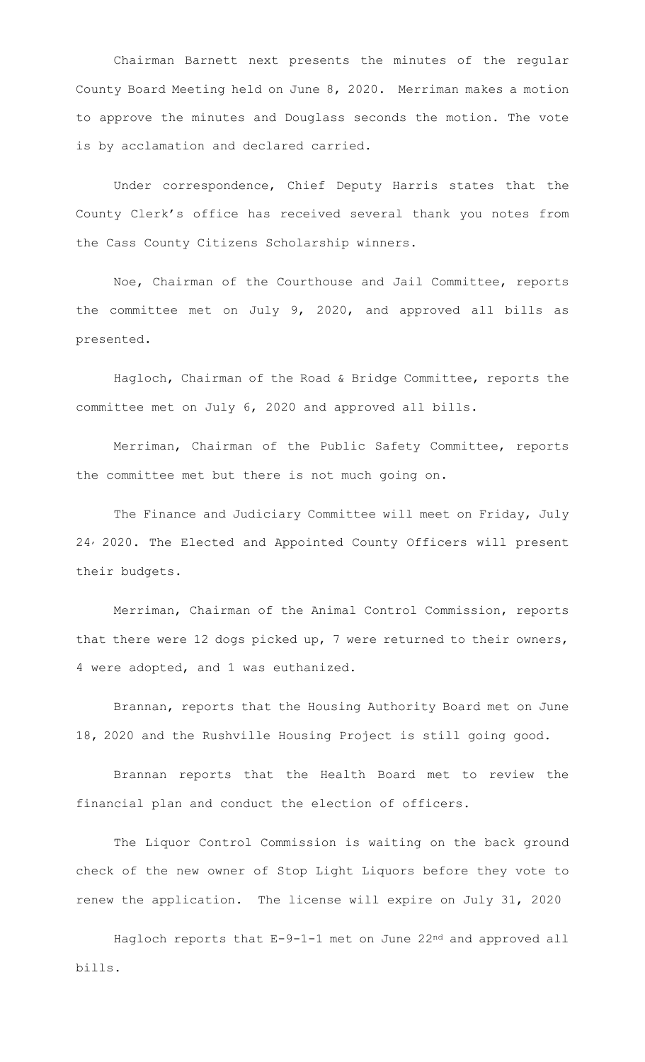Chairman Barnett next presents the minutes of the regular County Board Meeting held on June 8, 2020. Merriman makes a motion to approve the minutes and Douglass seconds the motion. The vote is by acclamation and declared carried.

Under correspondence, Chief Deputy Harris states that the County Clerk's office has received several thank you notes from the Cass County Citizens Scholarship winners.

Noe, Chairman of the Courthouse and Jail Committee, reports the committee met on July 9, 2020, and approved all bills as presented.

Hagloch, Chairman of the Road & Bridge Committee, reports the committee met on July 6, 2020 and approved all bills.

Merriman, Chairman of the Public Safety Committee, reports the committee met but there is not much going on.

The Finance and Judiciary Committee will meet on Friday, July 24, 2020. The Elected and Appointed County Officers will present their budgets.

Merriman, Chairman of the Animal Control Commission, reports that there were 12 dogs picked up, 7 were returned to their owners, 4 were adopted, and 1 was euthanized.

Brannan, reports that the Housing Authority Board met on June 18, 2020 and the Rushville Housing Project is still going good.

Brannan reports that the Health Board met to review the financial plan and conduct the election of officers.

The Liquor Control Commission is waiting on the back ground check of the new owner of Stop Light Liquors before they vote to renew the application. The license will expire on July 31, 2020

Hagloch reports that E-9-1-1 met on June 22<sup>nd</sup> and approved all bills.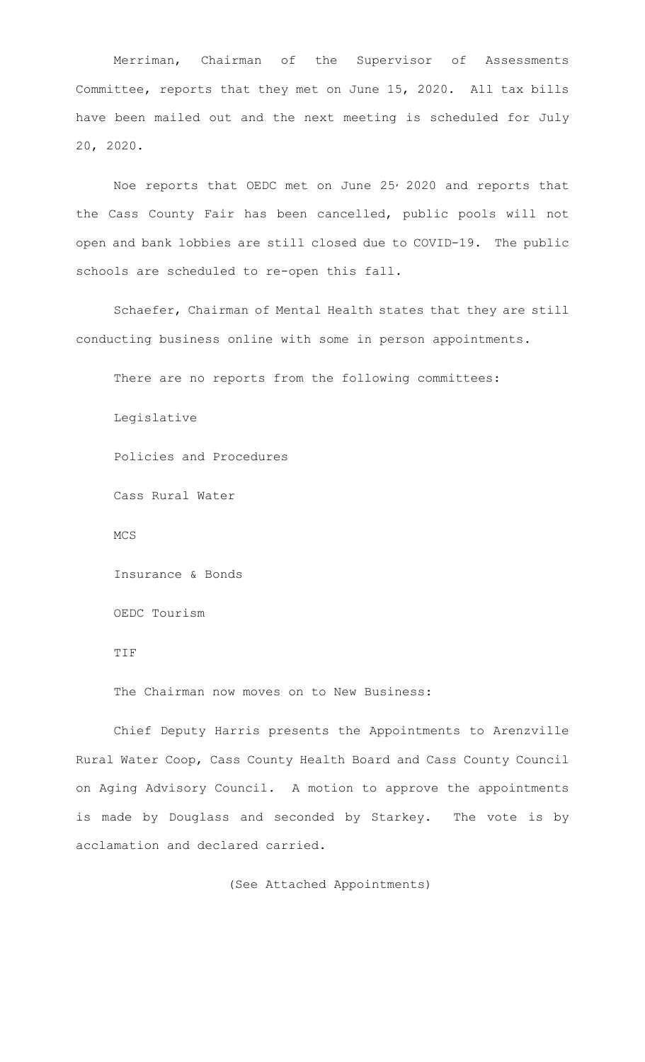Merriman, Chairman of the Supervisor of Assessments Committee, reports that they met on June 15, 2020. All tax bills have been mailed out and the next meeting is scheduled for July 20, 2020.

Noe reports that OEDC met on June 25<sup>,</sup> 2020 and reports that the Cass County Fair has been cancelled, public pools will not open and bank lobbies are still closed due to COVID-19. The public schools are scheduled to re-open this fall.

Schaefer, Chairman of Mental Health states that they are still conducting business online with some in person appointments.

There are no reports from the following committees: Legislative Policies and Procedures Cass Rural Water MCS Insurance & Bonds OEDC Tourism TIF The Chairman now moves on to New Business:

 Chief Deputy Harris presents the Appointments to Arenzville Rural Water Coop, Cass County Health Board and Cass County Council on Aging Advisory Council. A motion to approve the appointments is made by Douglass and seconded by Starkey. The vote is by acclamation and declared carried.

(See Attached Appointments)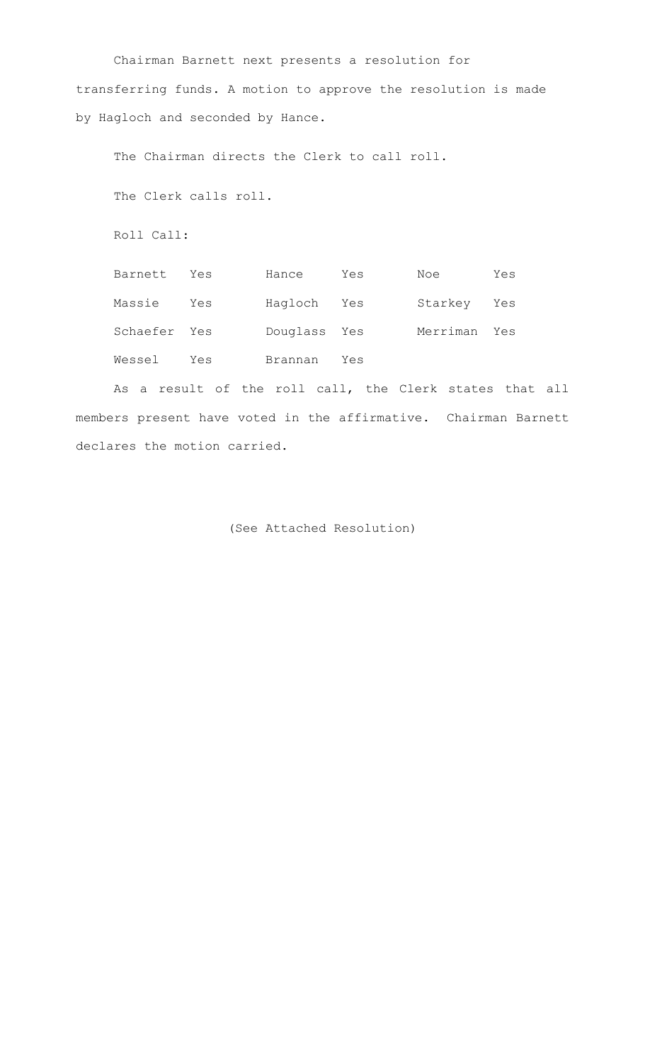Chairman Barnett next presents a resolution for transferring funds. A motion to approve the resolution is made by Hagloch and seconded by Hance.

The Chairman directs the Clerk to call roll.

The Clerk calls roll.

Roll Call:

| Barnett      | Yes | Hance        | Yes | Noe      | Yes |
|--------------|-----|--------------|-----|----------|-----|
| Massie       | Yes | Haqloch Yes  |     | Starkey  | Yes |
| Schaefer Yes |     | Douglass Yes |     | Merriman | Yes |
| Wessel       | Yes | Brannan      | Yes |          |     |

As a result of the roll call, the Clerk states that all members present have voted in the affirmative. Chairman Barnett declares the motion carried.

(See Attached Resolution)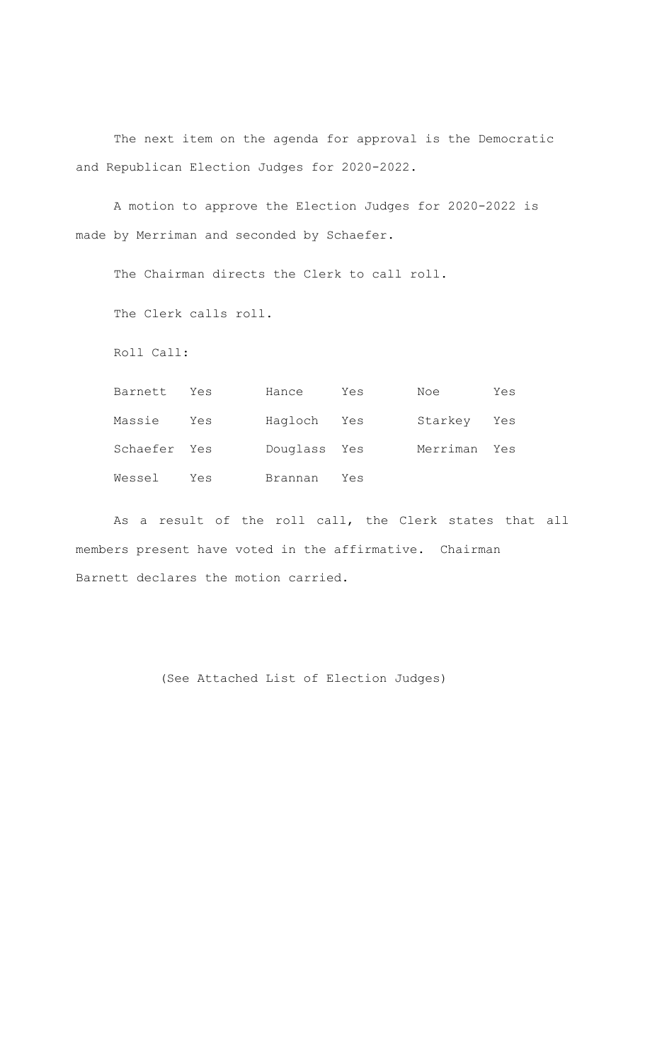The next item on the agenda for approval is the Democratic and Republican Election Judges for 2020-2022.

A motion to approve the Election Judges for 2020-2022 is made by Merriman and seconded by Schaefer.

The Chairman directs the Clerk to call roll.

The Clerk calls roll.

Roll Call:

| Barnett      | Yes | Hance        | Yes | Noe          | Yes |
|--------------|-----|--------------|-----|--------------|-----|
| Massie       | Yes | Hagloch Yes  |     | Starkey Yes  |     |
| Schaefer Yes |     | Douglass Yes |     | Merriman Yes |     |
| Wessel       | Yes | Brannan      | Yes |              |     |

 As a result of the roll call, the Clerk states that all members present have voted in the affirmative. Chairman Barnett declares the motion carried.

(See Attached List of Election Judges)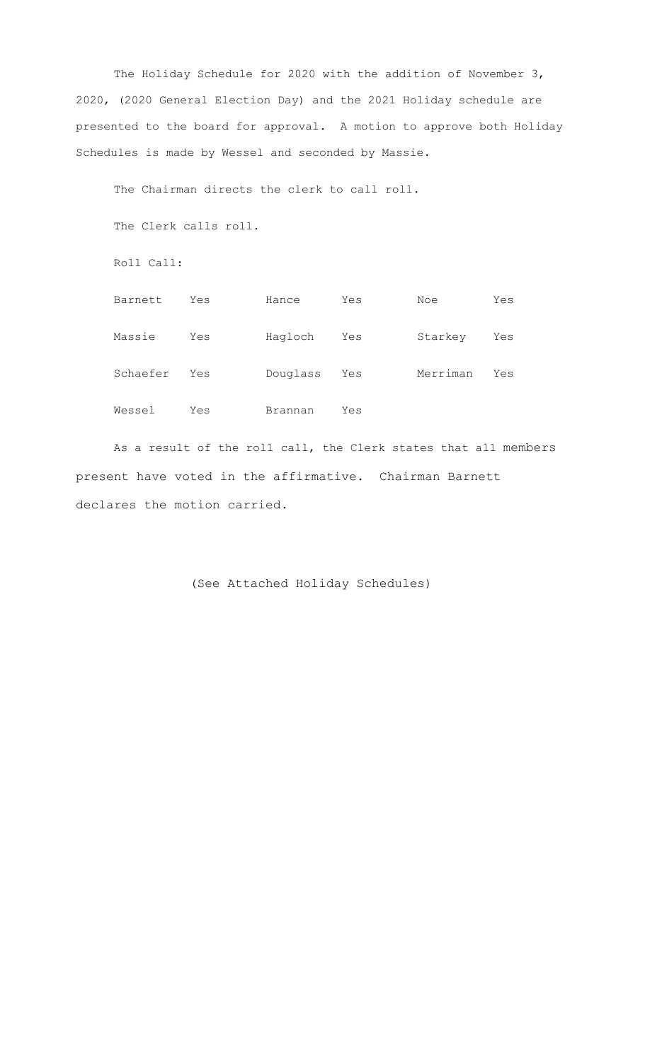The Holiday Schedule for 2020 with the addition of November 3, 2020, (2020 General Election Day) and the 2021 Holiday schedule are presented to the board for approval. A motion to approve both Holiday Schedules is made by Wessel and seconded by Massie.

The Chairman directs the clerk to call roll. The Clerk calls roll. Roll Call: Barnett Yes Hance Yes Noe Yes Massie Yes Hagloch Yes Starkey Yes Schaefer Yes Douglass Yes Merriman Yes Wessel Yes Brannan Yes

 As a result of the roll call, the Clerk states that all members present have voted in the affirmative. Chairman Barnett declares the motion carried.

(See Attached Holiday Schedules)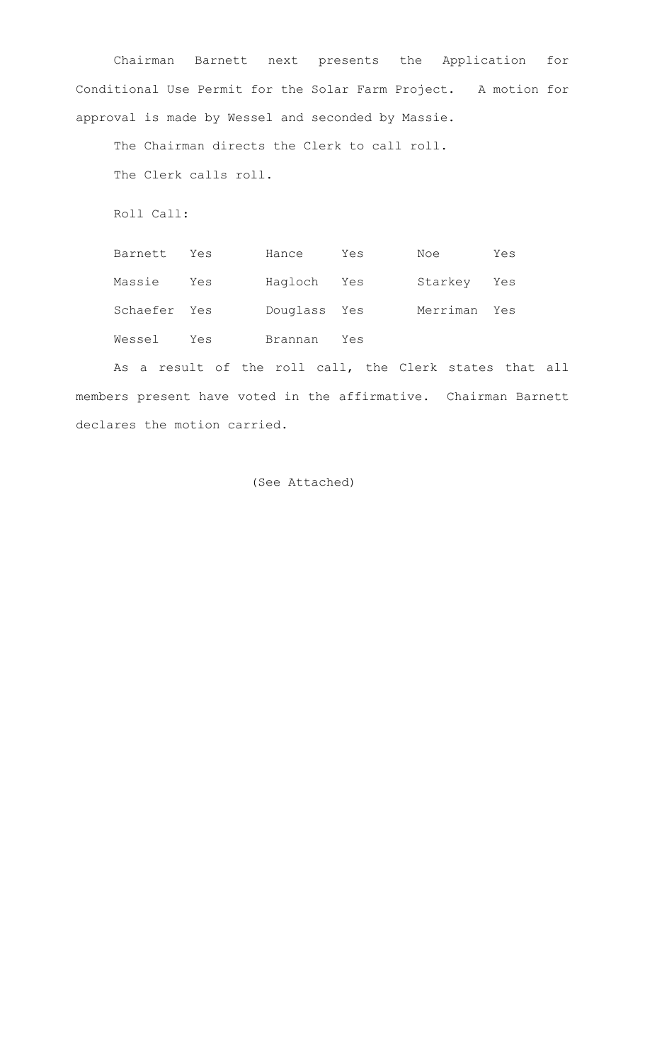Chairman Barnett next presents the Application for Conditional Use Permit for the Solar Farm Project. A motion for approval is made by Wessel and seconded by Massie.

The Chairman directs the Clerk to call roll. The Clerk calls roll.

Roll Call:

| Barnett      | Yes | Hance        | Yes | Noe      | Yes |
|--------------|-----|--------------|-----|----------|-----|
| Massie       | Yes | Hagloch Yes  |     | Starkey  | Yes |
| Schaefer Yes |     | Douglass Yes |     | Merriman | Yes |
| Wessel       | Yes | Brannan      | Yes |          |     |

As a result of the roll call, the Clerk states that all members present have voted in the affirmative. Chairman Barnett declares the motion carried.

(See Attached)